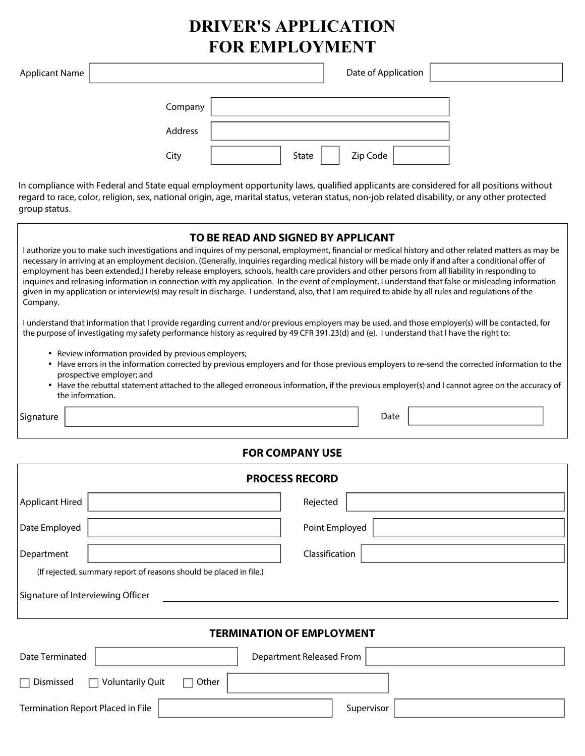# **DRIVER'S APPLICATION FOR EMPLOYMENT**

| Applicant Name |         | Date of Application |  |
|----------------|---------|---------------------|--|
|                | Company |                     |  |
|                | Address |                     |  |
|                | City    | Zip Code<br>State   |  |

In compliance with Federal and State equal employment opportunity laws, qualified applicants are considered for all positions without regard to race, color, religion, sex, national origin, age, marital status, veteran status, non-job related disability, or any other protected group status.

| TO BE READ AND SIGNED BY APPLICANT<br>I authorize you to make such investigations and inquires of my personal, employment, financial or medical history and other related matters as may be<br>necessary in arriving at an employment decision. (Generally, inquiries regarding medical history will be made only if and after a conditional offer of<br>employment has been extended.) I hereby release employers, schools, health care providers and other persons from all liability in responding to<br>inquiries and releasing information in connection with my application. In the event of employment, I understand that false or misleading information<br>given in my application or interview(s) may result in discharge. I understand, also, that I am required to abide by all rules and regulations of the<br>Company. |
|--------------------------------------------------------------------------------------------------------------------------------------------------------------------------------------------------------------------------------------------------------------------------------------------------------------------------------------------------------------------------------------------------------------------------------------------------------------------------------------------------------------------------------------------------------------------------------------------------------------------------------------------------------------------------------------------------------------------------------------------------------------------------------------------------------------------------------------|
| I understand that information that I provide regarding current and/or previous employers may be used, and those employer(s) will be contacted, for<br>the purpose of investigating my safety performance history as required by 49 CFR 391.23(d) and (e). I understand that I have the right to:                                                                                                                                                                                                                                                                                                                                                                                                                                                                                                                                     |
| • Review information provided by previous employers;<br>• Have errors in the information corrected by previous employers and for those previous employers to re-send the corrected information to the<br>prospective employer; and<br>• Have the rebuttal statement attached to the alleged erroneous information, if the previous employer(s) and I cannot agree on the accuracy of<br>the information.                                                                                                                                                                                                                                                                                                                                                                                                                             |

Signature **Date** 

## **FOR COMPANY USE**

| <b>PROCESS RECORD</b>             |                                                                    |  |  |  |
|-----------------------------------|--------------------------------------------------------------------|--|--|--|
| Applicant Hired                   | Rejected                                                           |  |  |  |
| Date Employed                     | Point Employed                                                     |  |  |  |
| Department                        | Classification                                                     |  |  |  |
|                                   | (If rejected, summary report of reasons should be placed in file.) |  |  |  |
| Signature of Interviewing Officer |                                                                    |  |  |  |
| <b>TERMINATION OF EMPLOYMENT</b>  |                                                                    |  |  |  |

# Date Terminated | and Department Released From  $\Box$  Dismissed  $\Box$  Voluntarily Quit  $\Box$  Other Termination Report Placed in File | Supervisor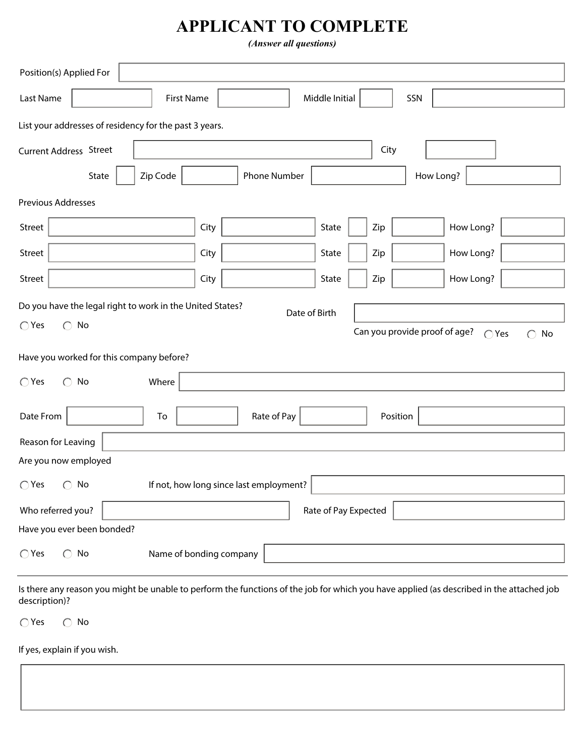# **APPLICANT TO COMPLETE**

*(Answer all questions)*

| Position(s) Applied For                                                 |                   |                         |                |      |                               |               |                  |
|-------------------------------------------------------------------------|-------------------|-------------------------|----------------|------|-------------------------------|---------------|------------------|
| Last Name                                                               | <b>First Name</b> |                         | Middle Initial |      | SSN                           |               |                  |
| List your addresses of residency for the past 3 years.                  |                   |                         |                |      |                               |               |                  |
| <b>Current Address Street</b>                                           |                   |                         |                | City |                               |               |                  |
| State                                                                   | Zip Code          | <b>Phone Number</b>     |                |      | How Long?                     |               |                  |
| Previous Addresses                                                      |                   |                         |                |      |                               |               |                  |
| Street                                                                  |                   | City                    | State          | Zip  |                               | How Long?     |                  |
| Street                                                                  |                   | City                    | State          | Zip  |                               | How Long?     |                  |
| Street                                                                  |                   | City                    | State          | Zip  |                               | How Long?     |                  |
| Do you have the legal right to work in the United States?               |                   |                         | Date of Birth  |      |                               |               |                  |
| $\bigcirc$ Yes<br>$\bigcirc$ No                                         |                   |                         |                |      | Can you provide proof of age? | $\bigcap$ Yes | No<br>$\bigcirc$ |
| Have you worked for this company before?                                |                   |                         |                |      |                               |               |                  |
| $\bigcirc$ Yes<br>$\bigcirc$ No                                         | Where             |                         |                |      |                               |               |                  |
|                                                                         |                   |                         |                |      |                               |               |                  |
| Date From                                                               | To                | Rate of Pay             |                |      | Position                      |               |                  |
| Reason for Leaving                                                      |                   |                         |                |      |                               |               |                  |
| Are you now employed                                                    |                   |                         |                |      |                               |               |                  |
| If not, how long since last employment?<br>$\bigcirc$ Yes $\bigcirc$ No |                   |                         |                |      |                               |               |                  |
| Who referred you?<br>Rate of Pay Expected                               |                   |                         |                |      |                               |               |                  |
| Have you ever been bonded?                                              |                   |                         |                |      |                               |               |                  |
| $\bigcirc$ No<br>$\bigcirc$ Yes                                         |                   | Name of bonding company |                |      |                               |               |                  |
|                                                                         |                   |                         |                |      |                               |               |                  |

Is there any reason you might be unable to perform the functions of the job for which you have applied (as described in the attached job description)?

 $\bigcap$  Yes  $\bigcap$  No

If yes, explain if you wish.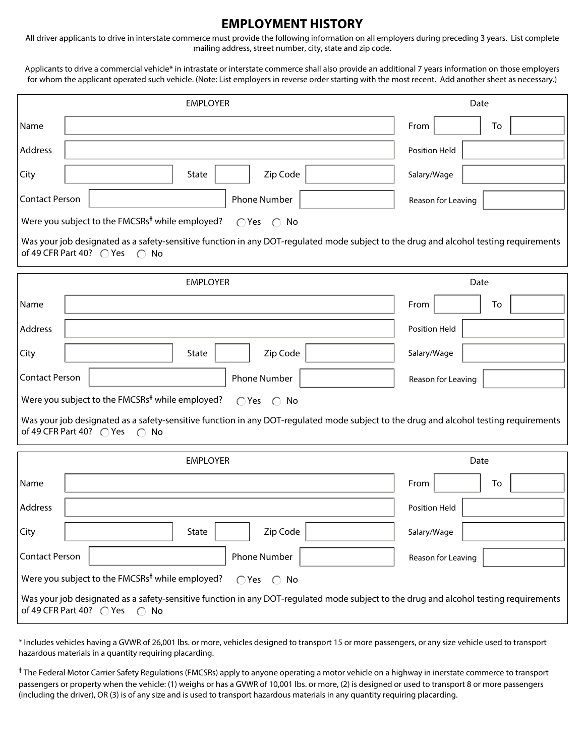### **EMPLOYMENT HISTORY**

All driver applicants to drive in interstate commerce must provide the following information on all employers during preceding 3 years. List complete mailing address, street number, city, state and zip code.

Applicants to drive a commercial vehicle\* in intrastate or interstate commerce shall also provide an additional 7 years information on those employers for whom the applicant operated such vehicle. (Note: List employers in reverse order starting with the most recent. Add another sheet as necessary.)

|                                                                                                                                                                                            | <b>EMPLOYER</b>                                                                                                                                                                    | Date               |  |  |  |  |
|--------------------------------------------------------------------------------------------------------------------------------------------------------------------------------------------|------------------------------------------------------------------------------------------------------------------------------------------------------------------------------------|--------------------|--|--|--|--|
| Name                                                                                                                                                                                       |                                                                                                                                                                                    | From<br>To         |  |  |  |  |
| Address                                                                                                                                                                                    |                                                                                                                                                                                    | Position Held      |  |  |  |  |
| City                                                                                                                                                                                       | Zip Code<br>State                                                                                                                                                                  | Salary/Wage        |  |  |  |  |
| <b>Contact Person</b>                                                                                                                                                                      | Phone Number                                                                                                                                                                       | Reason for Leaving |  |  |  |  |
|                                                                                                                                                                                            | Were you subject to the FMCSRs <sup>+</sup> while employed?<br>$\bigcap$ Yes $\bigcap$ No                                                                                          |                    |  |  |  |  |
|                                                                                                                                                                                            | Was your job designated as a safety-sensitive function in any DOT-regulated mode subject to the drug and alcohol testing requirements<br>of 49 CFR Part 40? ○ Yes ○ No             |                    |  |  |  |  |
|                                                                                                                                                                                            | <b>EMPLOYER</b>                                                                                                                                                                    | Date               |  |  |  |  |
| Name                                                                                                                                                                                       |                                                                                                                                                                                    | From<br>To         |  |  |  |  |
| Address                                                                                                                                                                                    |                                                                                                                                                                                    | Position Held      |  |  |  |  |
| City                                                                                                                                                                                       | Zip Code<br>State                                                                                                                                                                  | Salary/Wage        |  |  |  |  |
| <b>Contact Person</b>                                                                                                                                                                      | Phone Number                                                                                                                                                                       | Reason for Leaving |  |  |  |  |
|                                                                                                                                                                                            | Were you subject to the FMCSRs <sup>+</sup> while employed?<br>$\bigcap$ Yes $\bigcap$ No                                                                                          |                    |  |  |  |  |
|                                                                                                                                                                                            | Was your job designated as a safety-sensitive function in any DOT-regulated mode subject to the drug and alcohol testing requirements<br>of 49 CFR Part 40? ○ Yes<br>$\bigcirc$ No |                    |  |  |  |  |
|                                                                                                                                                                                            | <b>EMPLOYER</b>                                                                                                                                                                    | Date               |  |  |  |  |
| Name                                                                                                                                                                                       |                                                                                                                                                                                    | From<br>To         |  |  |  |  |
| Address                                                                                                                                                                                    |                                                                                                                                                                                    | Position Held      |  |  |  |  |
| City                                                                                                                                                                                       | Zip Code<br>State                                                                                                                                                                  | Salary/Wage        |  |  |  |  |
| <b>Contact Person</b>                                                                                                                                                                      | Phone Number                                                                                                                                                                       | Reason for Leaving |  |  |  |  |
| Were you subject to the FMCSRs <sup>+</sup> while employed?<br>$\bigcap$ Yes $\bigcap$ No                                                                                                  |                                                                                                                                                                                    |                    |  |  |  |  |
| Was your job designated as a safety-sensitive function in any DOT-regulated mode subject to the drug and alcohol testing requirements<br>of 49 CFR Part 40? $\bigcirc$ Yes<br>$\bigcap$ No |                                                                                                                                                                                    |                    |  |  |  |  |

\* Includes vehicles having a GVWR of 26,001 lbs. or more, vehicles designed to transport 15 or more passengers, or any size vehicle used to transport hazardous materials in a quantity requiring placarding.

<sup>+</sup> The Federal Motor Carrier Safety Regulations (FMCSRs) apply to anyone operating a motor vehicle on a highway in inerstate commerce to transport passengers or property when the vehicle: (1) weighs or has a GVWR of 10,001 lbs. or more, (2) is designed or used to transport 8 or more passengers (including the driver), OR (3) is of any size and is used to transport hazardous materials in any quantity requiring placarding.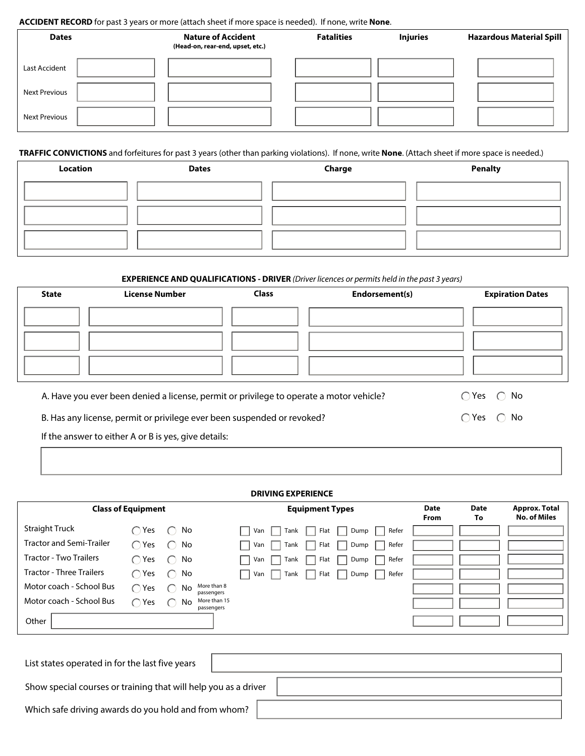#### **ACCIDENT RECORD** for past 3 years or more (attach sheet if more space is needed). If none, write **None**.

| <b>Dates</b>         | <b>Nature of Accident</b><br>(Head-on, rear-end, upset, etc.) | <b>Fatalities</b> | <b>Injuries</b> | <b>Hazardous Material Spill</b> |
|----------------------|---------------------------------------------------------------|-------------------|-----------------|---------------------------------|
| Last Accident        |                                                               |                   |                 |                                 |
| <b>Next Previous</b> |                                                               |                   |                 |                                 |
| <b>Next Previous</b> |                                                               |                   |                 |                                 |

### **TRAFFIC CONVICTIONS** and forfeitures for past 3 years (other than parking violations). If none, write **None**. (Attach sheet if more space is needed.)

| Location | <b>Dates</b> | Charge | <b>Penalty</b> |
|----------|--------------|--------|----------------|
|          |              |        |                |
|          |              |        |                |
|          |              |        |                |

#### **EXPERIENCE AND QUALIFICATIONS - DRIVER** *(Driver licences or permits held in the past 3 years)*

| <b>State</b> | <b>License Number</b> | <b>Class</b> | Endorsement(s) | <b>Expiration Dates</b> |
|--------------|-----------------------|--------------|----------------|-------------------------|
|              |                       |              |                |                         |
|              |                       |              |                |                         |
|              |                       |              |                |                         |
|              |                       |              |                |                         |

A. Have you ever been denied a license, permit or privilege to operate a motor vehicle?  $\bigcirc$  Yes  $\bigcirc$  No

B. Has any license, permit or privilege ever been suspended or revoked?  $\bigcirc$  and  $\bigcirc$  Yes  $\bigcirc$  No

If the answer to either A or B is yes, give details:

#### **DRIVING EXPERIENCE Date From** Straight Truck  $\bigcirc$  Yes  $\bigcirc$  No Tractor and Semi-Trailer  $\bigcap$  Yes  $\bigcap$  No Tractor - Two Trailers  $\bigcap$  Yes  $\bigcap$  No Tractor - Three Trailers  $\bigcap$  Yes  $\bigcap$  No Motor coach - School Bus  $\bigcap$  Yes Motor coach - School Bus  $\bigcap$  Yes  $\bigcap$  No **Other**  $\bigcirc$  No More than 8 passengers More than 15 passengers **Class of Equipment Equipment Types** Van Tank Flat Dump Refer Van Tank Flat Dump Refer Van Tank Flat Dump Refer Van Tank Flat Dump Refer **Date To Approx. Total No. of Miles**

| List states operated in for the last five years                 |  |
|-----------------------------------------------------------------|--|
| Show special courses or training that will help you as a driver |  |
| Which safe driving awards do you hold and from whom?            |  |